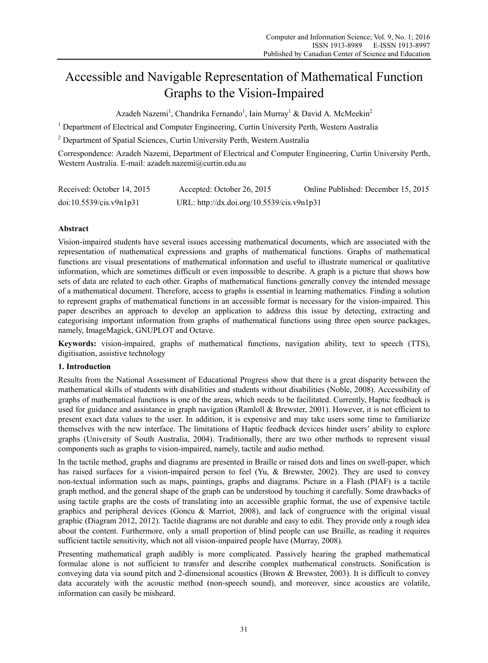# Accessible and Navigable Representation of Mathematical Function Graphs to the Vision-Impaired

Azadeh Nazemi<sup>1</sup>, Chandrika Fernando<sup>1</sup>, Iain Murray<sup>1</sup> & David A. McMeekin<sup>2</sup>

<sup>1</sup> Department of Electrical and Computer Engineering, Curtin University Perth, Western Australia

<sup>2</sup> Department of Spatial Sciences, Curtin University Perth, Western Australia

Correspondence: Azadeh Nazemi, Department of Electrical and Computer Engineering, Curtin University Perth, Western Australia. E-mail: azadeh.nazemi@curtin.edu.au

| Received: October 14, 2015 | Accepted: October 26, 2015                 | Online Published: December 15, 2015 |
|----------------------------|--------------------------------------------|-------------------------------------|
| doi:10.5539/cis.v9n1p31    | URL: http://dx.doi.org/10.5539/cis.v9n1p31 |                                     |

# **Abstract**

Vision-impaired students have several issues accessing mathematical documents, which are associated with the representation of mathematical expressions and graphs of mathematical functions. Graphs of mathematical functions are visual presentations of mathematical information and useful to illustrate numerical or qualitative information, which are sometimes difficult or even impossible to describe. A graph is a picture that shows how sets of data are related to each other. Graphs of mathematical functions generally convey the intended message of a mathematical document. Therefore, access to graphs is essential in learning mathematics. Finding a solution to represent graphs of mathematical functions in an accessible format is necessary for the vision-impaired. This paper describes an approach to develop an application to address this issue by detecting, extracting and categorising important information from graphs of mathematical functions using three open source packages, namely, ImageMagick, GNUPLOT and Octave.

**Keywords:** vision-impaired, graphs of mathematical functions, navigation ability, text to speech (TTS), digitisation, assistive technology

# **1. Introduction**

Results from the National Assessment of Educational Progress show that there is a great disparity between the mathematical skills of students with disabilities and students without disabilities (Noble, 2008). Accessibility of graphs of mathematical functions is one of the areas, which needs to be facilitated. Currently, Haptic feedback is used for guidance and assistance in graph navigation (Ramloll & Brewster, 2001). However, it is not efficient to present exact data values to the user. In addition, it is expensive and may take users some time to familiarize themselves with the new interface. The limitations of Haptic feedback devices hinder users' ability to explore graphs (University of South Australia, 2004). Traditionally, there are two other methods to represent visual components such as graphs to vision-impaired, namely, tactile and audio method.

In the tactile method, graphs and diagrams are presented in Braille or raised dots and lines on swell-paper, which has raised surfaces for a vision-impaired person to feel (Yu, & Brewster, 2002). They are used to convey non-textual information such as maps, paintings, graphs and diagrams. Picture in a Flash (PIAF) is a tactile graph method, and the general shape of the graph can be understood by touching it carefully. Some drawbacks of using tactile graphs are the costs of translating into an accessible graphic format, the use of expensive tactile graphics and peripheral devices (Goncu & Marriot, 2008), and lack of congruence with the original visual graphic (Diagram 2012, 2012). Tactile diagrams are not durable and easy to edit. They provide only a rough idea about the content. Furthermore, only a small proportion of blind people can use Braille, as reading it requires sufficient tactile sensitivity, which not all vision-impaired people have (Murray, 2008).

Presenting mathematical graph audibly is more complicated. Passively hearing the graphed mathematical formulae alone is not sufficient to transfer and describe complex mathematical constructs. Sonification is conveying data via sound pitch and 2-dimensional acoustics (Brown & Brewster, 2003). It is difficult to convey data accurately with the acoustic method (non-speech sound), and moreover, since acoustics are volatile, information can easily be misheard.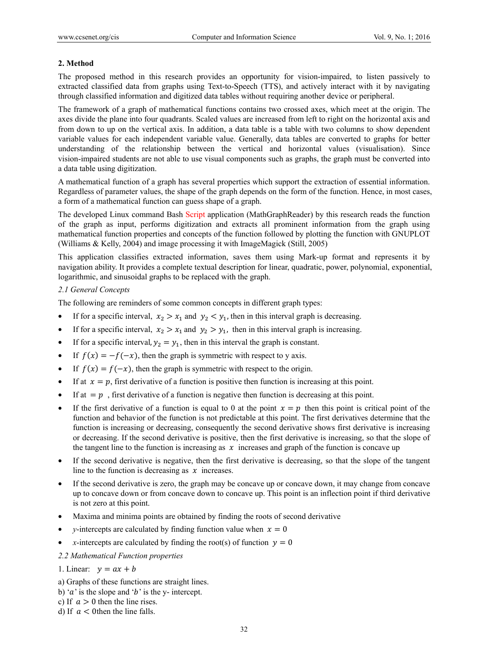# **2. Method**

The proposed method in this research provides an opportunity for vision-impaired, to listen passively to extracted classified data from graphs using Text-to-Speech (TTS), and actively interact with it by navigating through classified information and digitized data tables without requiring another device or peripheral.

The framework of a graph of mathematical functions contains two crossed axes, which meet at the origin. The axes divide the plane into four quadrants. Scaled values are increased from left to right on the horizontal axis and from down to up on the vertical axis. In addition, a data table is a table with two columns to show dependent variable values for each independent variable value. Generally, data tables are converted to graphs for better understanding of the relationship between the vertical and horizontal values (visualisation). Since vision-impaired students are not able to use visual components such as graphs, the graph must be converted into a data table using digitization.

A mathematical function of a graph has several properties which support the extraction of essential information. Regardless of parameter values, the shape of the graph depends on the form of the function. Hence, in most cases, a form of a mathematical function can guess shape of a graph.

The developed Linux command Bash Script application (MathGraphReader) by this research reads the function of the graph as input, performs digitization and extracts all prominent information from the graph using mathematical function properties and concepts of the function followed by plotting the function with GNUPLOT (Williams & Kelly, 2004) and image processing it with ImageMagick (Still, 2005)

This application classifies extracted information, saves them using Mark-up format and represents it by navigation ability. It provides a complete textual description for linear, quadratic, power, polynomial, exponential, logarithmic, and sinusoidal graphs to be replaced with the graph.

# *2.1 General Concepts*

The following are reminders of some common concepts in different graph types:

- If for a specific interval,  $x_2 > x_1$  and  $y_2 < y_1$ , then in this interval graph is decreasing.
- If for a specific interval,  $x_2 > x_1$  and  $y_2 > y_1$ , then in this interval graph is increasing.
- If for a specific interval,  $y_2 = y_1$ , then in this interval the graph is constant.
- If  $f(x) = -f(-x)$ , then the graph is symmetric with respect to y axis.
- If  $f(x) = f(-x)$ , then the graph is symmetric with respect to the origin.
- If at  $x = p$ , first derivative of a function is positive then function is increasing at this point.
- If at  $=p$ , first derivative of a function is negative then function is decreasing at this point.
- If the first derivative of a function is equal to 0 at the point  $x = p$  then this point is critical point of the function and behavior of the function is not predictable at this point. The first derivatives determine that the function is increasing or decreasing, consequently the second derivative shows first derivative is increasing or decreasing. If the second derivative is positive, then the first derivative is increasing, so that the slope of the tangent line to the function is increasing as  $x$  increases and graph of the function is concave up
- If the second derivative is negative, then the first derivative is decreasing, so that the slope of the tangent line to the function is decreasing as  $x$  increases.
- If the second derivative is zero, the graph may be concave up or concave down, it may change from concave up to concave down or from concave down to concave up. This point is an inflection point if third derivative is not zero at this point.
- Maxima and minima points are obtained by finding the roots of second derivative
- *y*-intercepts are calculated by finding function value when  $x=0$
- *x*-intercepts are calculated by finding the root(s) of function  $y = 0$

*2.2 Mathematical Function properties* 

1. Linear:  $v = ax + b$ 

- a) Graphs of these functions are straight lines.
- b) ' $a$ ' is the slope and ' $b$ ' is the y- intercept.
- c) If  $a > 0$  then the line rises.
- d) If  $a < 0$  then the line falls.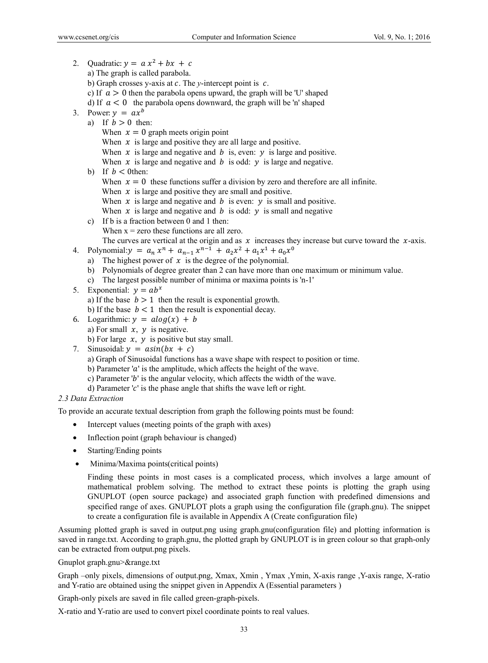2. Quadratic:  $y = a x^2 + bx + c$ a) The graph is called parabola. b) Graph crosses y-axis at  $c$ . The *y*-intercept point is  $c$ . c) If  $a > 0$  then the parabola opens upward, the graph will be 'U' shaped d) If  $a < 0$  the parabola opens downward, the graph will be 'n' shaped 3. Power:  $y = ax^b$ a) If  $b > 0$  then: When  $x = 0$  graph meets origin point When  $x$  is large and positive they are all large and positive. When  $x$  is large and negative and  $b$  is, even:  $\gamma$  is large and positive. When  $x$  is large and negative and  $b$  is odd:  $y$  is large and negative. b) If  $b < 0$  then: When  $x=0$  these functions suffer a division by zero and therefore are all infinite. When  $x$  is large and positive they are small and positive. When  $x$  is large and negative and  $b$  is even:  $y$  is small and positive. When  $x$  is large and negative and  $b$  is odd:  $y$  is small and negative c) If b is a fraction between 0 and 1 then: When  $x =$  zero these functions are all zero. The curves are vertical at the origin and as  $x$  increases they increase but curve toward the  $x$ -axis. 4. Polynomial: $y = a_n x^n + a_{n-1} x^{n-1} + a_2 x^2 + a_1 x^1 + a_0 x^0$ a) The highest power of  $x$  is the degree of the polynomial. b) Polynomials of degree greater than 2 can have more than one maximum or minimum value. c) The largest possible number of minima or maxima points is 'n-1' 5. Exponential:  $y = ab^x$ a) If the base  $b > 1$  then the result is exponential growth. b) If the base  $b < 1$  then the result is exponential decay. 6. Logarithmic:  $y = a \log(x) + b$ a) For small  $x$ ,  $y$  is negative. b) For large  $x$ ,  $y$  is positive but stay small. 7. Sinusoidal:  $y = \frac{a \sin(bx + c)}{}$ a) Graph of Sinusoidal functions has a wave shape with respect to position or time. b) Parameter ' $a$ ' is the amplitude, which affects the height of the wave. c) Parameter 'b' is the angular velocity, which affects the width of the wave. d) Parameter 'c' is the phase angle that shifts the wave left or right. *2.3 Data Extraction*  To provide an accurate textual description from graph the following points must be found: • Intercept values (meeting points of the graph with axes) • Inflection point (graph behaviour is changed) • Starting/Ending points • Minima/Maxima points(critical points) Finding these points in most cases is a complicated process, which involves a large amount of mathematical problem solving. The method to extract these points is plotting the graph using GNUPLOT (open source package) and associated graph function with predefined dimensions and

Assuming plotted graph is saved in output.png using graph.gnu(configuration file) and plotting information is saved in range.txt. According to graph.gnu, the plotted graph by GNUPLOT is in green colour so that graph-only can be extracted from output.png pixels.

to create a configuration file is available in Appendix A (Create configuration file)

specified range of axes. GNUPLOT plots a graph using the configuration file (graph.gnu). The snippet

Gnuplot graph.gnu>&range.txt

Graph –only pixels, dimensions of output.png, Xmax, Xmin , Ymax ,Ymin, X-axis range ,Y-axis range, X-ratio and Y-ratio are obtained using the snippet given in Appendix A (Essential parameters )

Graph-only pixels are saved in file called green-graph-pixels.

X-ratio and Y-ratio are used to convert pixel coordinate points to real values.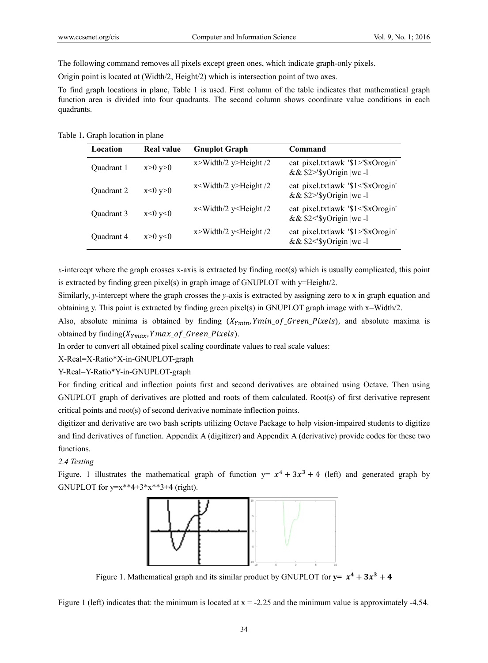The following command removes all pixels except green ones, which indicate graph-only pixels.

Origin point is located at (Width/2, Height/2) which is intersection point of two axes.

To find graph locations in plane, Table 1 is used. First column of the table indicates that mathematical graph function area is divided into four quadrants. The second column shows coordinate value conditions in each quadrants.

#### Table 1**.** Graph location in plane

| Location   | Real value      | <b>Gnuplot Graph</b>                                                                                                               | Command                                                        |
|------------|-----------------|------------------------------------------------------------------------------------------------------------------------------------|----------------------------------------------------------------|
| Ouadrant 1 | $x>0$ y>0       | $x$ >Width/2 y>Height /2                                                                                                           | cat pixel.txt awk '\$1>'\$xOrogin'<br>&& \$2>'\$yOrigin  wc -1 |
| Quadrant 2 | $x < 0$ $y > 0$ | $x$ < Width/2 $y$ > Height /2                                                                                                      | cat pixel.txt awk '\$1<'\$xOrogin'<br>&& \$2>'\$yOrigin  wc -1 |
| Ouadrant 3 | $x < 0$ $y < 0$ | $x$ Width/2 y Height /2                                                                                                            | cat pixel.txt awk '\$1<'\$xOrogin'<br>&& \$2<'\$yOrigin  wc -1 |
| Quadrant 4 | $x>0$ y<0       | $x$ >Width/2 y <height 2<="" td=""><td>cat pixel.txt awk '\$1&gt;'\$xOrogin'<br/>&amp;&amp; \$2&lt;'\$yOrigin  wc -1</td></height> | cat pixel.txt awk '\$1>'\$xOrogin'<br>&& \$2<'\$yOrigin  wc -1 |

*x*-intercept where the graph crosses x-axis is extracted by finding root(s) which is usually complicated, this point is extracted by finding green pixel(s) in graph image of GNUPLOT with y=Height/2.

Similarly, *y*-intercept where the graph crosses the *y*-axis is extracted by assigning zero to x in graph equation and obtaining y. This point is extracted by finding green pixel(s) in GNUPLOT graph image with x=Width/2.

Also, absolute minima is obtained by finding  $(X_{Ymin}, Ymin\_of\_Green\_pixels)$ , and absolute maxima is obtained by finding  $(X_{Ymax}, Ymax_{\text{max}} f_{\text{f}})$  (Green\_Pixels).

In order to convert all obtained pixel scaling coordinate values to real scale values:

X-Real=X-Ratio\*X-in-GNUPLOT-graph

Y-Real=Y-Ratio\*Y-in-GNUPLOT-graph

For finding critical and inflection points first and second derivatives are obtained using Octave. Then using GNUPLOT graph of derivatives are plotted and roots of them calculated. Root(s) of first derivative represent critical points and root(s) of second derivative nominate inflection points.

digitizer and derivative are two bash scripts utilizing Octave Package to help vision-impaired students to digitize and find derivatives of function. Appendix A (digitizer) and Appendix A (derivative) provide codes for these two functions.

# *2.4 Testing*

Figure. 1 illustrates the mathematical graph of function  $y = x^4 + 3x^3 + 4$  (left) and generated graph by GNUPLOT for  $y=x**4+3*x**3+4$  (right).



Figure 1. Mathematical graph and its similar product by GNUPLOT for  $y = x^4 + 3x^3 + 4$ 

Figure 1 (left) indicates that: the minimum is located at  $x = -2.25$  and the minimum value is approximately -4.54.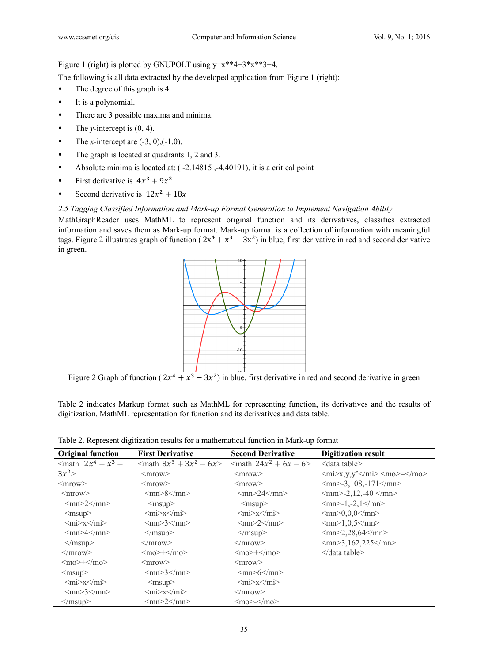Figure 1 (right) is plotted by GNUPOLT using  $y=x**4+3*x**3+4$ .

The following is all data extracted by the developed application from Figure 1 (right):

- The degree of this graph is 4
- It is a polynomial.
- There are 3 possible maxima and minima.
- The *y*-intercept is  $(0, 4)$ .
- The *x*-intercept are  $(-3, 0), (-1, 0)$ .
- The graph is located at quadrants 1, 2 and 3.
- Absolute minima is located at:  $(-2.14815, -4.40191)$ , it is a critical point
- First derivative is  $4x^3 + 9x^2$
- Second derivative is  $12x^2 + 18x$

# *2.5 Tagging Classified Information and Mark-up Format Generation to Implement Navigation Ability*

MathGraphReader uses MathML to represent original function and its derivatives, classifies extracted information and saves them as Mark-up format. Mark-up format is a collection of information with meaningful tags. Figure 2 illustrates graph of function ( $2x^4 + x^3 - 3x^2$ ) in blue, first derivative in red and second derivative in green.



Figure 2 Graph of function ( $2x^4 + x^3 - 3x^2$ ) in blue, first derivative in red and second derivative in green

Table 2 indicates Markup format such as MathML for representing function, its derivatives and the results of digitization. MathML representation for function and its derivatives and data table.

| Table 2. Represent digitization results for a mathematical function in Mark-up format |  |  |  |
|---------------------------------------------------------------------------------------|--|--|--|
|                                                                                       |  |  |  |

| <b>Original function</b>                                | <b>First Derivative</b>                               | <b>Second Derivative</b>                              | <b>Digitization result</b>                                                                                       |
|---------------------------------------------------------|-------------------------------------------------------|-------------------------------------------------------|------------------------------------------------------------------------------------------------------------------|
| $\text{3}$ $2x^4 + x^3$ –                               | $\pi$ ath $8x^3 + 3x^2 - 6x$                          | $\pi$ and $24x^2 + 6x - 6$                            | <data table=""></data>                                                                                           |
| $3x^2$                                                  | $\leq$ mrow $>$                                       | $\leq$ mrow $>$                                       | $\langle \text{mi}\rangle x, y, y' \langle \text{mi}\rangle \langle \text{mo}\rangle = \langle \text{mo}\rangle$ |
| $<$ mrow $>$                                            | $\leq$ mrow $>$                                       | $\leq$ mrow $>$                                       | $\text{cm} > -3,108,-171 \text{cm}$                                                                              |
| $\leq$ mrow $>$                                         | $\rm{m}$ $>8$ $\rm{m}$                                | $\rm{m}$ >24 $\rm{m}$                                 | $\m{-2,12,-40}$ $\m{-2,12}$                                                                                      |
| $\rm{m}$ >2 $\rm{m}$                                    | $<$ msup $>$                                          | $<$ msup $>$                                          | $\m{-1,-2,1}\m{-1}$                                                                                              |
| $<$ msup $>$                                            | $\langle \text{m} \rangle x \langle \text{m} \rangle$ | $\langle \text{mi}\rangle x \langle \text{mi}\rangle$ | $\rm{m>0,00~cm>}$                                                                                                |
| $\langle \text{m} \rangle x \langle \text{m} \rangle$   | $\rm <$ mn $>3$ $\rm <$ /mn $>$                       | $\rm{m}$ >2 $\rm{m}$                                  | $\m{m>1,0,5}\m{mm}$                                                                                              |
| $\text{cmn}$ >4 $\text{cmn}$                            | $<$ /msup>                                            | $<$ /msup>                                            | $\m{cm}$ n $>$ 2,28,64 $\m{cm}$ n $>$                                                                            |
| $<$ /msup>                                              | $\langle$ mrow $\rangle$                              | $\le$ /mrow>                                          | $\m{cm} > 3,162,225 \m{cm}$                                                                                      |
| $\langle$ mrow $\rangle$                                | $\rm{m}$ o $\rm{m}$ $\rm{m}$ o $\rm{m}$               | $\rm \leq$ mo $\geq$ + $\leq$ /mo $\geq$              | $\triangle$ data table $\triangleright$                                                                          |
| $\rm \leq m$ 0> $\rm \leq \leq m$ 0>                    | $\leq$ mrow $>$                                       | $\leq$ mrow $>$                                       |                                                                                                                  |
| $<$ msup $>$                                            | $\rm{m} >3$ $\rm{m}$                                  | $\text{cm}$ >6 $\text{cm}$                            |                                                                                                                  |
| $\langle \text{mi}\rangle$ x $\langle \text{mi}\rangle$ | $<$ msup $>$                                          | $\langle mi \rangle x \langle mi \rangle$             |                                                                                                                  |
| $\rm{m} >3$ $\rm{m}$                                    | $\langle mi \rangle x \langle mi \rangle$             | $\le$ /mrow>                                          |                                                                                                                  |
| $<$ /msup>                                              | $\rm{m22m}$                                           | $\rm \leq$ mo $\geq$ - $\leq$ /mo $\geq$              |                                                                                                                  |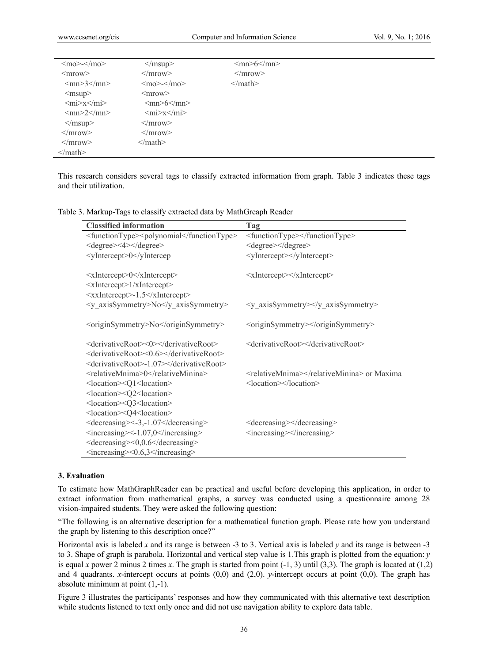| $\rm \leq m$ <sup>2</sup> $\rm \leq$ /m <sup>2</sup>  | $<$ /msup>                                            | $\rm{m>6}$ /mn $>$       |  |
|-------------------------------------------------------|-------------------------------------------------------|--------------------------|--|
| $\leq$ mrow $>$                                       | $\langle$ mrow $\rangle$                              | $\langle$ mrow $\rangle$ |  |
| $\rm{m} >3$ $\rm{m}$                                  | $\langle$ mo>- $\langle$ mo>                          | $\le$ /math>             |  |
| $<$ msup $>$                                          | $\leq$ mrow $>$                                       |                          |  |
| $\langle \text{m} \rangle x \langle \text{m} \rangle$ | $\rm{m>6}$ /mn $>$                                    |                          |  |
| $\rm{m}$ >2 $\rm{m}$                                  | $\langle \text{m} \rangle x \langle \text{m} \rangle$ |                          |  |
| $<$ /msup>                                            | $<$ /mrow>                                            |                          |  |
| $\langle$ mrow $\rangle$                              | $<$ /mrow>                                            |                          |  |
| $\langle$ mrow $\rangle$                              | $\le$ /math>                                          |                          |  |
| $\le$ /math>                                          |                                                       |                          |  |

This research considers several tags to classify extracted information from graph. Table 3 indicates these tags and their utilization.

|  |  | Table 3. Markup-Tags to classify extracted data by MathGreaph Reader |
|--|--|----------------------------------------------------------------------|
|  |  |                                                                      |

| <b>Classified information</b>                                                                                                     | Tag                                                                 |
|-----------------------------------------------------------------------------------------------------------------------------------|---------------------------------------------------------------------|
| <functiontype><polynomial< functiontype=""></polynomial<></functiontype>                                                          | <functiontype></functiontype>                                       |
| <degree>&lt;4&gt;</degree>                                                                                                        | <degree></degree>                                                   |
| <yintercept>0<td><yintercept></yintercept></td></yintercept>                                                                      | <yintercept></yintercept>                                           |
| $\langle$ xIntercept $>0\langle x]$ ntercept $>$<br><xintercept>1/xIntercept&gt;<br/><xxintercept>-1.5</xxintercept></xintercept> | $\langle$ xIntercept $\rangle$ $\langle$ xIntercept $\rangle$       |
| <y axissymmetry="">No</y>                                                                                                         | $\langle y \rangle$ axisSymmetry $\langle y \rangle$ axisSymmetry   |
| <br><br>coriginSymmetry>No                                                                                                        | <originsymmetry></originsymmetry>                                   |
| <derivativeroot>&lt;0&gt;</derivativeroot>                                                                                        | <derivativeroot></derivativeroot>                                   |
| <derivativeroot>&lt;0.6&gt;</derivativeroot>                                                                                      |                                                                     |
| <derivativeroot>-1.07&gt;</derivativeroot>                                                                                        |                                                                     |
| <relativemnima>0<br/><location><q1<location></q1<location></location></relativemnima>                                             | <relativemnima> or Maxima<br/><location></location></relativemnima> |
| <location><q2<location></q2<location></location>                                                                                  |                                                                     |
| <location><q3<location></q3<location></location>                                                                                  |                                                                     |
| <location><q4<location></q4<location></location>                                                                                  |                                                                     |
| <decreasing>&lt;-3,-1.07</decreasing>                                                                                             | <decreasing></decreasing>                                           |
| <increasing>&lt;-1.07,0</increasing>                                                                                              | <increasing></increasing>                                           |
| <decreasing>&lt;0,0.6</decreasing>                                                                                                |                                                                     |
| <increasing>&lt;0.6,3</increasing>                                                                                                |                                                                     |

#### **3. Evaluation**

To estimate how MathGraphReader can be practical and useful before developing this application, in order to extract information from mathematical graphs, a survey was conducted using a questionnaire among 28 vision-impaired students. They were asked the following question:

"The following is an alternative description for a mathematical function graph. Please rate how you understand the graph by listening to this description once?"

Horizontal axis is labeled *x* and its range is between -3 to 3. Vertical axis is labeled *y* and its range is between -3 to 3. Shape of graph is parabola. Horizontal and vertical step value is 1.This graph is plotted from the equation: *y* is equal *x* power 2 minus 2 times *x*. The graph is started from point  $(-1, 3)$  until  $(3,3)$ . The graph is located at  $(1,2)$ and 4 quadrants. *x*-intercept occurs at points (0,0) and (2,0). *y*-intercept occurs at point (0,0). The graph has absolute minimum at point (1,-1).

Figure 3 illustrates the participants' responses and how they communicated with this alternative text description while students listened to text only once and did not use navigation ability to explore data table.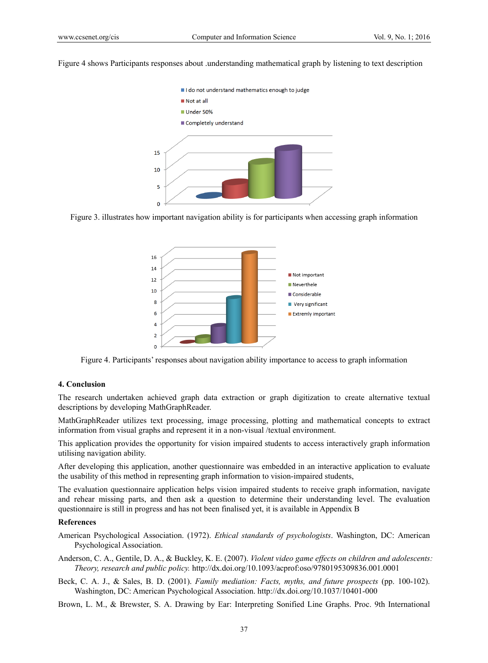Figure 4 shows Participants responses about .understanding mathematical graph by listening to text description







Figure 4. Participants' responses about navigation ability importance to access to graph information

#### **4. Conclusion**

The research undertaken achieved graph data extraction or graph digitization to create alternative textual descriptions by developing MathGraphReader.

MathGraphReader utilizes text processing, image processing, plotting and mathematical concepts to extract information from visual graphs and represent it in a non-visual /textual environment.

This application provides the opportunity for vision impaired students to access interactively graph information utilising navigation ability.

After developing this application, another questionnaire was embedded in an interactive application to evaluate the usability of this method in representing graph information to vision-impaired students,

The evaluation questionnaire application helps vision impaired students to receive graph information, navigate and rehear missing parts, and then ask a question to determine their understanding level. The evaluation questionnaire is still in progress and has not been finalised yet, it is available in Appendix B

### **References**

- American Psychological Association. (1972). *Ethical standards of psychologists*. Washington, DC: American Psychological Association.
- Anderson, C. A., Gentile, D. A., & Buckley, K. E. (2007). *Violent video game effects on children and adolescents: Theory, research and public policy.* http://dx.doi.org/10.1093/acprof:oso/9780195309836.001.0001
- Beck, C. A. J., & Sales, B. D. (2001). *Family mediation: Facts, myths, and future prospects* (pp. 100-102). Washington, DC: American Psychological Association. http://dx.doi.org/10.1037/10401-000

Brown, L. M., & Brewster, S. A. Drawing by Ear: Interpreting Sonified Line Graphs. Proc. 9th International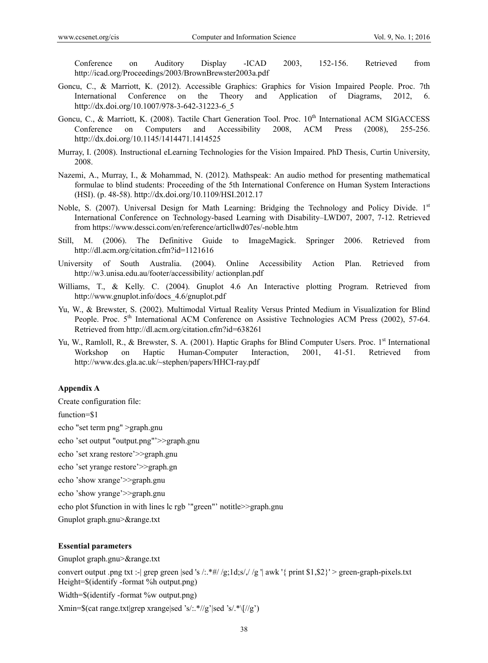Conference on Auditory Display -ICAD 2003, 152-156. Retrieved from http://icad.org/Proceedings/2003/BrownBrewster2003a.pdf

- Goncu, C., & Marriott, K. (2012). Accessible Graphics: Graphics for Vision Impaired People. Proc. 7th International Conference on the Theory and Application of Diagrams, 2012, http://dx.doi.org/10.1007/978-3-642-31223-6\_5
- Goncu, C., & Marriott, K. (2008). Tactile Chart Generation Tool. Proc. 10<sup>th</sup> International ACM SIGACCESS Conference on Computers and Accessibility 2008, ACM Press (2008), 255-256. http://dx.doi.org/10.1145/1414471.1414525
- Murray, I. (2008). Instructional eLearning Technologies for the Vision Impaired. PhD Thesis, Curtin University, 2008.
- Nazemi, A., Murray, I., & Mohammad, N. (2012). Mathspeak: An audio method for presenting mathematical formulae to blind students: Proceeding of the 5th International Conference on Human System Interactions (HSI). (p. 48-58). http://dx.doi.org/10.1109/HSI.2012.17
- Noble, S. (2007). Universal Design for Math Learning: Bridging the Technology and Policy Divide. 1st International Conference on Technology-based Learning with Disability–LWD07, 2007, 7-12. Retrieved from https://www.dessci.com/en/reference/articllwd07es/-noble.htm
- Still, M. (2006). The Definitive Guide to ImageMagick. Springer 2006. Retrieved from http://dl.acm.org/citation.cfm?id=1121616
- University of South Australia. (2004). Online Accessibility Action Plan. Retrieved from http://w3.unisa.edu.au/footer/accessibility/ actionplan.pdf
- Williams, T., & Kelly. C. (2004). Gnuplot 4.6 An Interactive plotting Program. Retrieved from http://www.gnuplot.info/docs\_4.6/gnuplot.pdf
- Yu, W., & Brewster, S. (2002). Multimodal Virtual Reality Versus Printed Medium in Visualization for Blind People. Proc. 5<sup>th</sup> International ACM Conference on Assistive Technologies ACM Press (2002), 57-64. Retrieved from http://dl.acm.org/citation.cfm?id=638261
- Yu, W., Ramloll, R., & Brewster, S. A. (2001). Haptic Graphs for Blind Computer Users. Proc. 1<sup>st</sup> International Workshop on Haptic Human-Computer Interaction, 2001, 41-51. Retrieved from http://www.dcs.gla.ac.uk/~stephen/papers/HHCI-ray.pdf

#### **Appendix A**

Create configuration file:

function=\$1

echo "set term png" >graph.gnu

echo 'set output "output.png"'>>graph.gnu

echo 'set xrang restore'>>graph.gnu

echo 'set yrange restore'>>graph.gn

- echo 'show xrange'>>graph.gnu
- echo 'show yrange'>>graph.gnu

echo plot \$function in with lines lc rgb '"green"' notitle>>graph.gnu

Gnuplot graph.gnu>&range.txt

#### **Essential parameters**

Gnuplot graph.gnu>&range.txt

convert output .png txt :- | grep green |sed 's /:.\*#/ /g;1d;s/,/ /g '| awk '{ print \$1,\$2}' > green-graph-pixels.txt Height=\$(identify -format %h output.png)

Width= $\frac{1}{2}$ (identify -format %w output.png)

Xmin=\$(cat range.txt|grep xrange|sed 's/:.\*//g'|sed 's/.\*\[//g')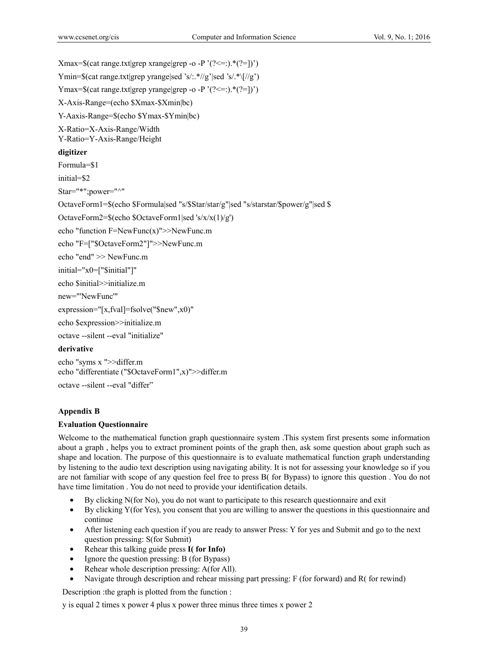Xmax= $\{(cat range.txt|green xrange|green -o -P'(?<=).*(?=))'\}$ Ymin=\$(cat range.txt|grep yrange|sed 's/:.\*//g'|sed 's/.\*\[//g') Ymax= $\{(cat range.txt|green triangle]$ grep -o -P ' $(?<=).*(?=|)'$ X-Axis-Range=(echo \$Xmax-\$Xmin|bc) Y-Aaxis-Range=\$(echo \$Ymax-\$Ymin|bc) X-Ratio=X-Axis-Range/Width Y-Ratio=Y-Axis-Range/Height **digitizer**  Formula=\$1 initial=\$2 Star="\*";power="^" OctaveForm1=\$(echo \$Formula|sed "s/\$Star/star/g"|sed "s/starstar/\$power/g"|sed \$ OctaveForm2=\$(echo \$OctaveForm1|sed 's/x/x(1)/g') echo "function  $F=NewFunc(x)$ " $>>NewFunc.m$ echo "F=["\$OctaveForm2"]">>NewFunc.m echo "end" >> NewFunc.m initial="x0=["\$initial"]" echo \$initial>>initialize.m new="'NewFunc'" expression="[x,fval]=fsolve("\$new",x0)" echo \$expression>>initialize.m octave --silent --eval "initialize" **derivative** 

echo "syms x ">>differ.m echo "differentiate ("\$OctaveForm1",x)">>differ.m octave --silent --eval "differ"

#### **Appendix B**

#### **Evaluation Questionnaire**

Welcome to the mathematical function graph questionnaire system .This system first presents some information about a graph , helps you to extract prominent points of the graph then, ask some question about graph such as shape and location. The purpose of this questionnaire is to evaluate mathematical function graph understanding by listening to the audio text description using navigating ability. It is not for assessing your knowledge so if you are not familiar with scope of any question feel free to press B( for Bypass) to ignore this question . You do not have time limitation . You do not need to provide your identification details.

- By clicking N(for No), you do not want to participate to this research questionnaire and exit
- By clicking Y(for Yes), you consent that you are willing to answer the questions in this questionnaire and continue
- After listening each question if you are ready to answer Press: Y for yes and Submit and go to the next question pressing: S(for Submit)
- Rehear this talking guide press **I( for Info)**
- Ignore the question pressing: B (for Bypass)
- Rehear whole description pressing: A(for All).
- Navigate through description and rehear missing part pressing: F (for forward) and R( for rewind)

Description :the graph is plotted from the function :

y is equal 2 times x power 4 plus x power three minus three times x power 2